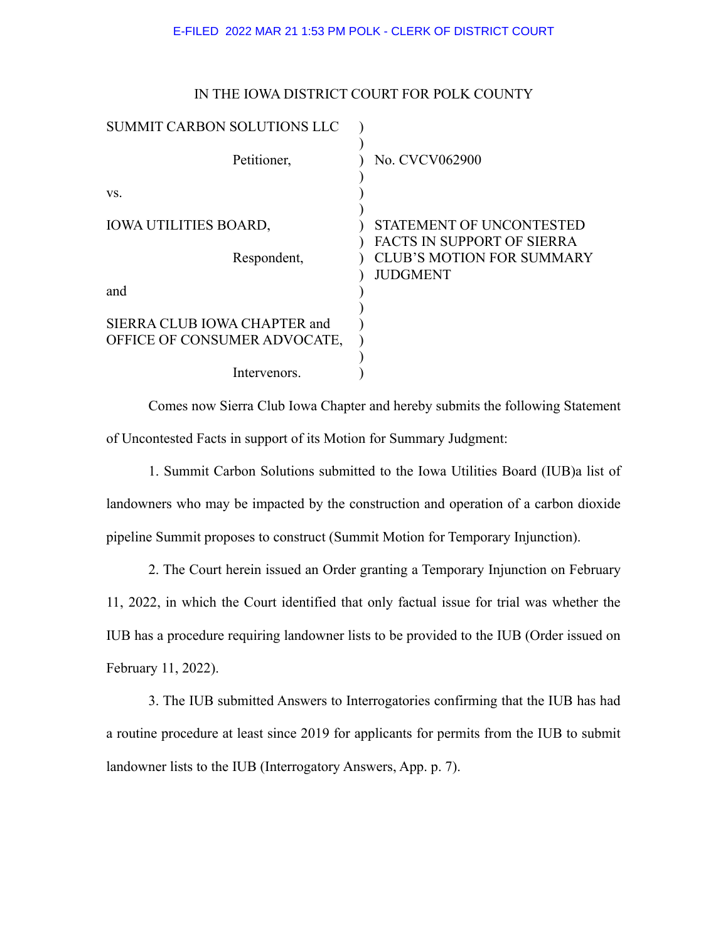## E-FILED 2022 MAR 21 1:53 PM POLK - CLERK OF DISTRICT COURT

|  |  | IN THE IOWA DISTRICT COURT FOR POLK COUNTY |
|--|--|--------------------------------------------|
|  |  |                                            |

| <b>SUMMIT CARBON SOLUTIONS LLC</b>                           |                                                        |
|--------------------------------------------------------------|--------------------------------------------------------|
| Petitioner,                                                  | No. CVCV062900                                         |
| VS.                                                          |                                                        |
| <b>IOWA UTILITIES BOARD,</b>                                 | STATEMENT OF UNCONTESTED<br>FACTS IN SUPPORT OF SIERRA |
| Respondent,                                                  | <b>CLUB'S MOTION FOR SUMMARY</b><br><b>JUDGMENT</b>    |
| and                                                          |                                                        |
| SIERRA CLUB IOWA CHAPTER and<br>OFFICE OF CONSUMER ADVOCATE, |                                                        |
| Intervenors.                                                 |                                                        |

Comes now Sierra Club Iowa Chapter and hereby submits the following Statement of Uncontested Facts in support of its Motion for Summary Judgment:

1. Summit Carbon Solutions submitted to the Iowa Utilities Board (IUB)a list of landowners who may be impacted by the construction and operation of a carbon dioxide pipeline Summit proposes to construct (Summit Motion for Temporary Injunction).

2. The Court herein issued an Order granting a Temporary Injunction on February 11, 2022, in which the Court identified that only factual issue for trial was whether the IUB has a procedure requiring landowner lists to be provided to the IUB (Order issued on February 11, 2022).

3. The IUB submitted Answers to Interrogatories confirming that the IUB has had a routine procedure at least since 2019 for applicants for permits from the IUB to submit landowner lists to the IUB (Interrogatory Answers, App. p. 7).